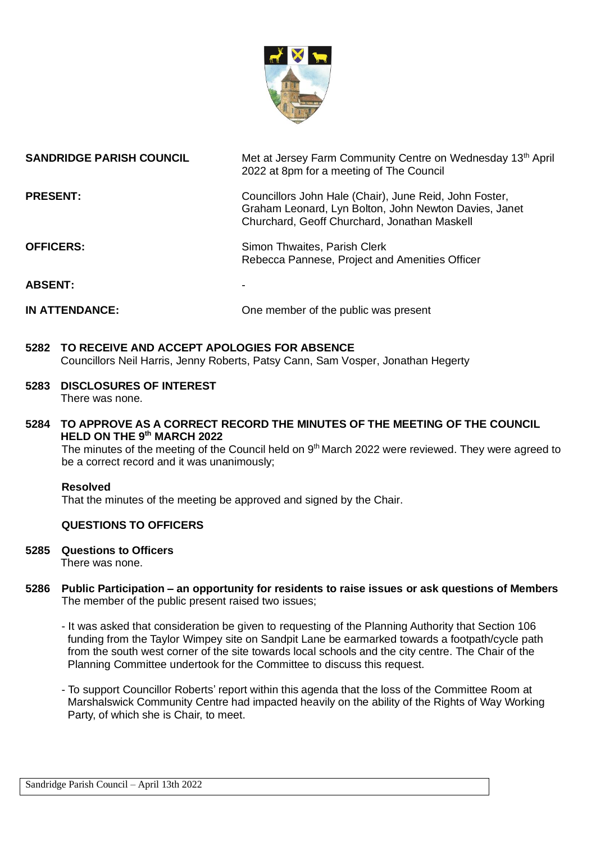

| <b>SANDRIDGE PARISH COUNCIL</b> | Met at Jersey Farm Community Centre on Wednesday 13th April<br>2022 at 8pm for a meeting of The Council                                                         |
|---------------------------------|-----------------------------------------------------------------------------------------------------------------------------------------------------------------|
| <b>PRESENT:</b>                 | Councillors John Hale (Chair), June Reid, John Foster,<br>Graham Leonard, Lyn Bolton, John Newton Davies, Janet<br>Churchard, Geoff Churchard, Jonathan Maskell |
| <b>OFFICERS:</b>                | Simon Thwaites, Parish Clerk<br>Rebecca Pannese, Project and Amenities Officer                                                                                  |
| <b>ABSENT:</b>                  |                                                                                                                                                                 |

- **IN ATTENDANCE:** One member of the public was present
- **5282 TO RECEIVE AND ACCEPT APOLOGIES FOR ABSENCE** Councillors Neil Harris, Jenny Roberts, Patsy Cann, Sam Vosper, Jonathan Hegerty
- **5283 DISCLOSURES OF INTEREST** There was none.
- **5284 TO APPROVE AS A CORRECT RECORD THE MINUTES OF THE MEETING OF THE COUNCIL HELD ON THE 9 th MARCH 2022**

The minutes of the meeting of the Council held on 9<sup>th</sup> March 2022 were reviewed. They were agreed to be a correct record and it was unanimously;

# **Resolved**

That the minutes of the meeting be approved and signed by the Chair.

# **QUESTIONS TO OFFICERS**

**5285 Questions to Officers**

There was none.

- **5286 Public Participation – an opportunity for residents to raise issues or ask questions of Members** The member of the public present raised two issues;
	- It was asked that consideration be given to requesting of the Planning Authority that Section 106 funding from the Taylor Wimpey site on Sandpit Lane be earmarked towards a footpath/cycle path from the south west corner of the site towards local schools and the city centre. The Chair of the Planning Committee undertook for the Committee to discuss this request.
	- To support Councillor Roberts' report within this agenda that the loss of the Committee Room at Marshalswick Community Centre had impacted heavily on the ability of the Rights of Way Working Party, of which she is Chair, to meet.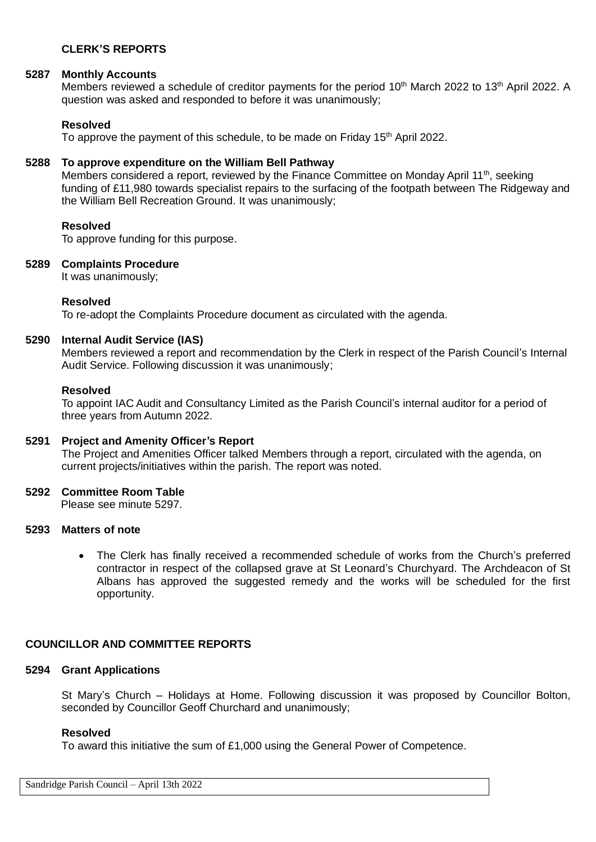# **CLERK'S REPORTS**

# **5287 Monthly Accounts**

Members reviewed a schedule of creditor payments for the period 10<sup>th</sup> March 2022 to 13<sup>th</sup> April 2022. A question was asked and responded to before it was unanimously;

# **Resolved**

To approve the payment of this schedule, to be made on Friday 15<sup>th</sup> April 2022.

# **5288 To approve expenditure on the William Bell Pathway**

Members considered a report, reviewed by the Finance Committee on Monday April 11<sup>th</sup>, seeking funding of £11,980 towards specialist repairs to the surfacing of the footpath between The Ridgeway and the William Bell Recreation Ground. It was unanimously;

# **Resolved**

To approve funding for this purpose.

# **5289 Complaints Procedure**

It was unanimously;

# **Resolved**

To re-adopt the Complaints Procedure document as circulated with the agenda.

# **5290 Internal Audit Service (IAS)**

Members reviewed a report and recommendation by the Clerk in respect of the Parish Council's Internal Audit Service. Following discussion it was unanimously;

# **Resolved**

To appoint IAC Audit and Consultancy Limited as the Parish Council's internal auditor for a period of three years from Autumn 2022.

# **5291 Project and Amenity Officer's Report**

The Project and Amenities Officer talked Members through a report, circulated with the agenda, on current projects/initiatives within the parish. The report was noted.

# **5292 Committee Room Table**

Please see minute 5297.

# **5293 Matters of note**

• The Clerk has finally received a recommended schedule of works from the Church's preferred contractor in respect of the collapsed grave at St Leonard's Churchyard. The Archdeacon of St Albans has approved the suggested remedy and the works will be scheduled for the first opportunity.

# **COUNCILLOR AND COMMITTEE REPORTS**

# **5294 Grant Applications**

St Mary's Church – Holidays at Home. Following discussion it was proposed by Councillor Bolton, seconded by Councillor Geoff Churchard and unanimously;

# **Resolved**

To award this initiative the sum of £1,000 using the General Power of Competence.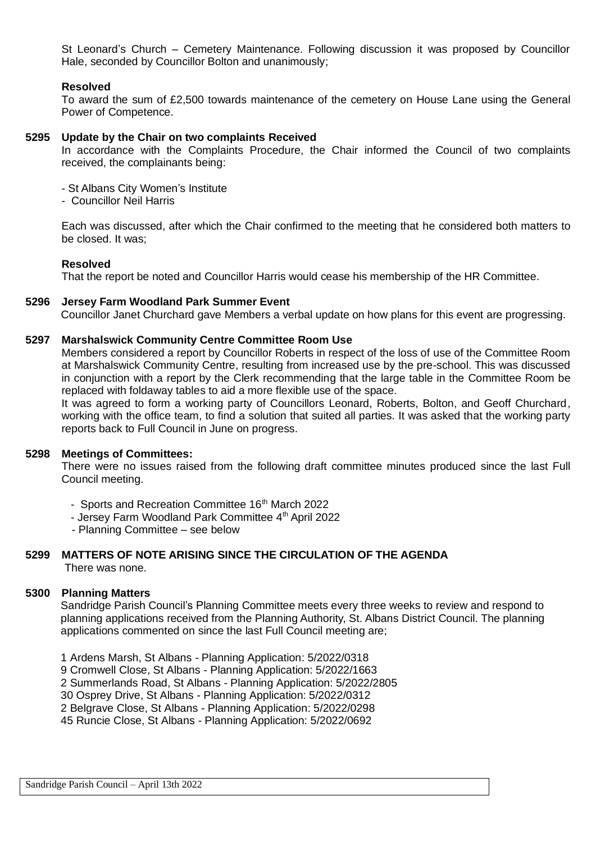St Leonard's Church – Cemetery Maintenance. Following discussion it was proposed by Councillor Hale, seconded by Councillor Bolton and unanimously;

# **Resolved**

To award the sum of £2,500 towards maintenance of the cemetery on House Lane using the General Power of Competence.

#### **5295 Update by the Chair on two complaints Received**

In accordance with the Complaints Procedure, the Chair informed the Council of two complaints received, the complainants being:

- St Albans City Women's Institute

- Councillor Neil Harris

Each was discussed, after which the Chair confirmed to the meeting that he considered both matters to be closed. It was;

# **Resolved**

That the report be noted and Councillor Harris would cease his membership of the HR Committee.

#### **5296 Jersey Farm Woodland Park Summer Event**

Councillor Janet Churchard gave Members a verbal update on how plans for this event are progressing.

#### **5297 Marshalswick Community Centre Committee Room Use**

Members considered a report by Councillor Roberts in respect of the loss of use of the Committee Room at Marshalswick Community Centre, resulting from increased use by the pre-school. This was discussed in conjunction with a report by the Clerk recommending that the large table in the Committee Room be replaced with foldaway tables to aid a more flexible use of the space.

It was agreed to form a working party of Councillors Leonard, Roberts, Bolton, and Geoff Churchard, working with the office team, to find a solution that suited all parties. It was asked that the working party reports back to Full Council in June on progress.

#### **5298 Meetings of Committees:**

There were no issues raised from the following draft committee minutes produced since the last Full Council meeting.

- Sports and Recreation Committee 16<sup>th</sup> March 2022
- Jersey Farm Woodland Park Committee 4<sup>th</sup> April 2022
	- Planning Committee see below

# **5299 MATTERS OF NOTE ARISING SINCE THE CIRCULATION OF THE AGENDA**

There was none.

# **5300 Planning Matters**

Sandridge Parish Council's Planning Committee meets every three weeks to review and respond to planning applications received from the Planning Authority, St. Albans District Council. The planning applications commented on since the last Full Council meeting are;

1 Ardens Marsh, St Albans - Planning Application: 5/2022/0318 9 Cromwell Close, St Albans - Planning Application: 5/2022/1663 2 Summerlands Road, St Albans - Planning Application: 5/2022/2805 30 Osprey Drive, St Albans - Planning Application: 5/2022/0312 2 Belgrave Close, St Albans - Planning Application: 5/2022/0298 45 Runcie Close, St Albans - Planning Application: 5/2022/0692